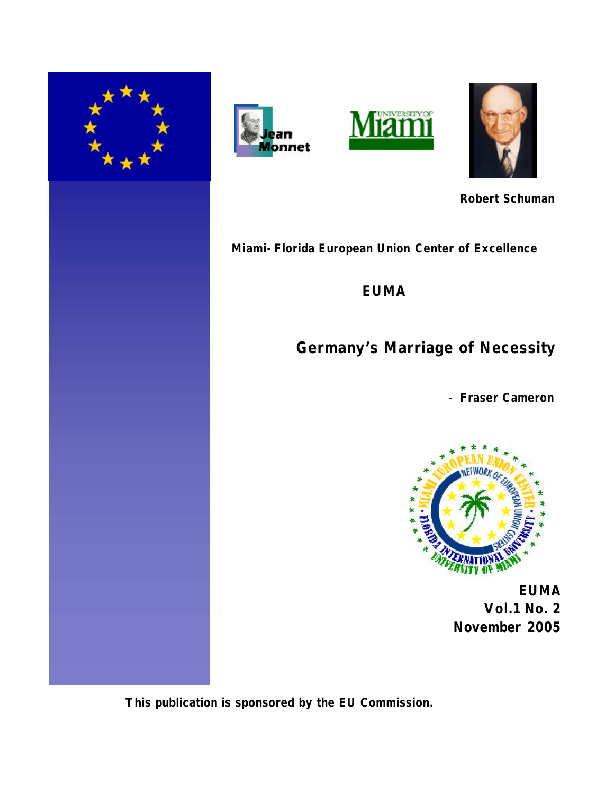







*Robert Schuman*

*Miami-Florida European Union Center of Excellence*

*EUMA*

# **Germany's Marriage of Necessity**

- **Fraser Cameron**



 **EUMA Vol.1 No. 2 November 2005**

 **This publication is sponsored by the EU Commission.**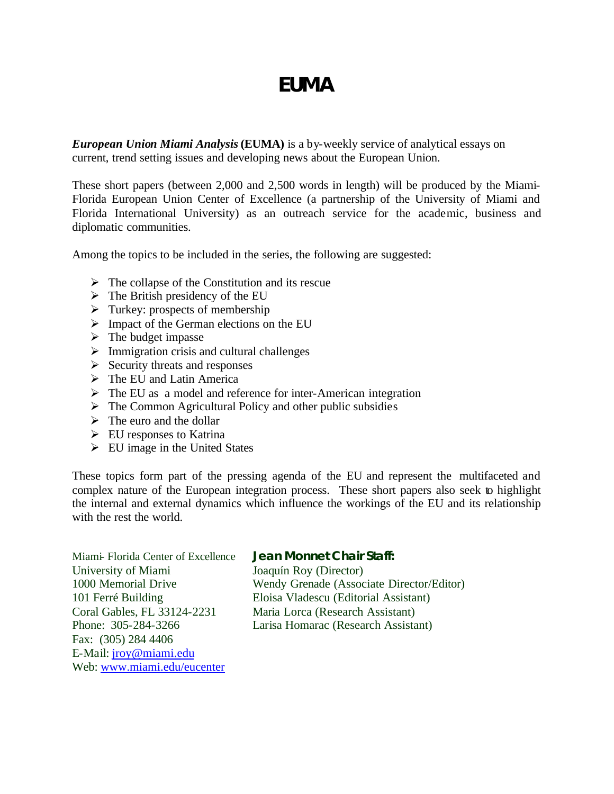# *EUMA*

*European Union Miami Analysis* **(EUMA)** is a by-weekly service of analytical essays on current, trend setting issues and developing news about the European Union.

These short papers (between 2,000 and 2,500 words in length) will be produced by the Miami-Florida European Union Center of Excellence (a partnership of the University of Miami and Florida International University) as an outreach service for the academic, business and diplomatic communities.

Among the topics to be included in the series, the following are suggested:

- $\triangleright$  The collapse of the Constitution and its rescue
- $\triangleright$  The British presidency of the EU
- $\triangleright$  Turkey: prospects of membership
- $\triangleright$  Impact of the German elections on the EU
- $\triangleright$  The budget impasse
- $\triangleright$  Immigration crisis and cultural challenges
- $\triangleright$  Security threats and responses
- $\triangleright$  The EU and Latin America
- $\triangleright$  The EU as a model and reference for inter-American integration
- $\triangleright$  The Common Agricultural Policy and other public subsidies
- $\triangleright$  The euro and the dollar
- $\triangleright$  EU responses to Katrina
- $\triangleright$  EU image in the United States

These topics form part of the pressing agenda of the EU and represent the multifaceted and complex nature of the European integration process. These short papers also seek to highlight the internal and external dynamics which influence the workings of the EU and its relationship with the rest the world.

Miami- Florida Center of Excellence **Jean Monnet Chair Staff:** University of Miami Joaquín Roy (Director) Coral Gables, FL 33124-2231 Maria Lorca (Research Assistant) Fax: (305) 284 4406 E-Mail: jroy@miami.edu Web: www.miami.edu/eucenter

1000 Memorial Drive Wendy Grenade (Associate Director/Editor) 101 Ferré Building Eloisa Vladescu (Editorial Assistant) Phone: 305-284-3266 Larisa Homarac (Research Assistant)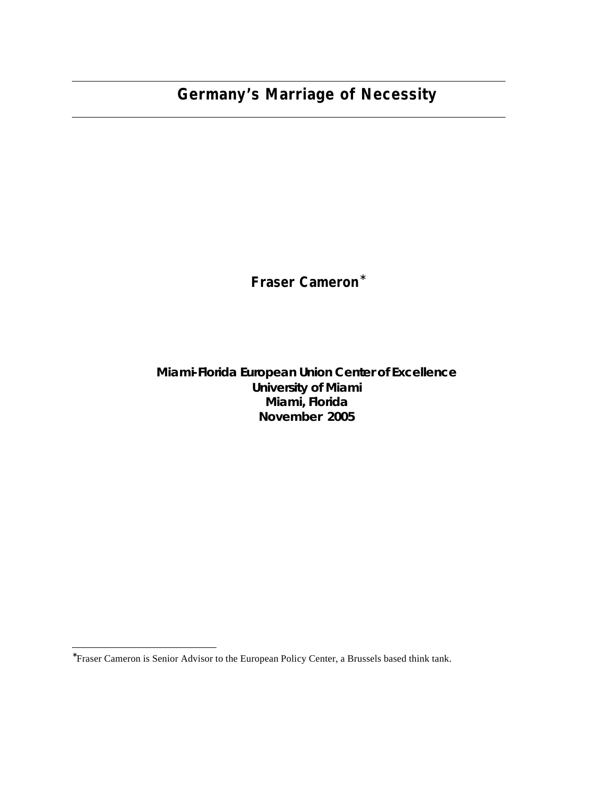## **Germany's Marriage of Necessity**

## **Fraser Cameron\***

#### **Miami-Florida European Union Center of Excellence University of Miami Miami, Florida November 2005**

 ∗ Fraser Cameron is Senior Advisor to the European Policy Center, a Brussels based think tank.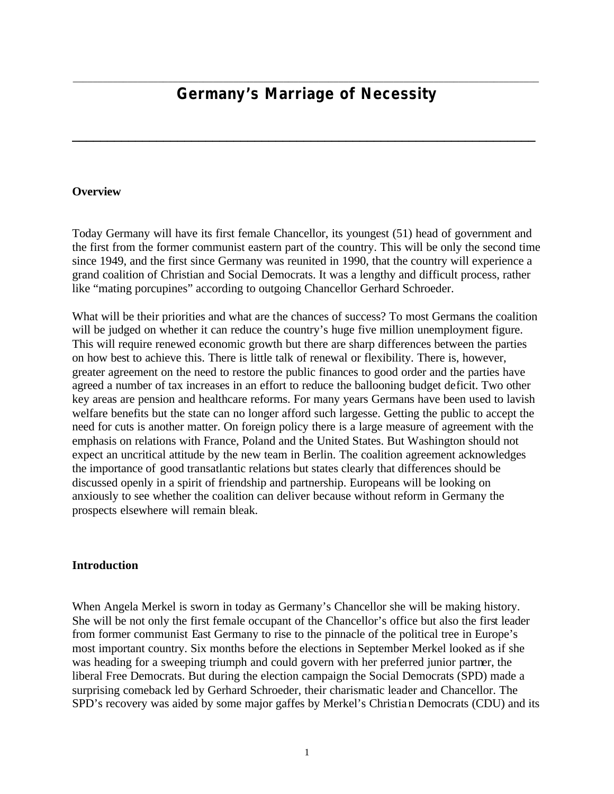### \_\_\_\_\_\_\_\_\_\_\_\_\_\_\_\_\_\_\_\_\_\_\_\_\_\_\_\_\_\_\_\_\_\_\_\_\_\_\_\_\_\_\_\_\_\_\_\_\_\_\_\_\_\_\_\_\_\_\_\_\_\_\_\_\_\_\_\_\_\_\_\_\_\_\_\_\_\_\_\_\_\_\_\_\_\_\_\_\_\_\_\_\_ *Germany's Marriage of Necessity*

**\_\_\_\_\_\_\_\_\_\_\_\_\_\_\_\_\_\_\_\_\_\_\_\_\_\_\_\_\_\_\_\_\_\_\_\_\_\_\_\_\_\_\_\_\_\_\_\_\_\_\_\_\_\_\_\_\_\_\_\_\_\_\_\_\_\_**

#### **Overview**

Today Germany will have its first female Chancellor, its youngest (51) head of government and the first from the former communist eastern part of the country. This will be only the second time since 1949, and the first since Germany was reunited in 1990, that the country will experience a grand coalition of Christian and Social Democrats. It was a lengthy and difficult process, rather like "mating porcupines" according to outgoing Chancellor Gerhard Schroeder.

What will be their priorities and what are the chances of success? To most Germans the coalition will be judged on whether it can reduce the country's huge five million unemployment figure. This will require renewed economic growth but there are sharp differences between the parties on how best to achieve this. There is little talk of renewal or flexibility. There is, however, greater agreement on the need to restore the public finances to good order and the parties have agreed a number of tax increases in an effort to reduce the ballooning budget deficit. Two other key areas are pension and healthcare reforms. For many years Germans have been used to lavish welfare benefits but the state can no longer afford such largesse. Getting the public to accept the need for cuts is another matter. On foreign policy there is a large measure of agreement with the emphasis on relations with France, Poland and the United States. But Washington should not expect an uncritical attitude by the new team in Berlin. The coalition agreement acknowledges the importance of good transatlantic relations but states clearly that differences should be discussed openly in a spirit of friendship and partnership. Europeans will be looking on anxiously to see whether the coalition can deliver because without reform in Germany the prospects elsewhere will remain bleak.

#### **Introduction**

When Angela Merkel is sworn in today as Germany's Chancellor she will be making history. She will be not only the first female occupant of the Chancellor's office but also the first leader from former communist East Germany to rise to the pinnacle of the political tree in Europe's most important country. Six months before the elections in September Merkel looked as if she was heading for a sweeping triumph and could govern with her preferred junior partner, the liberal Free Democrats. But during the election campaign the Social Democrats (SPD) made a surprising comeback led by Gerhard Schroeder, their charismatic leader and Chancellor. The SPD's recovery was aided by some major gaffes by Merkel's Christian Democrats (CDU) and its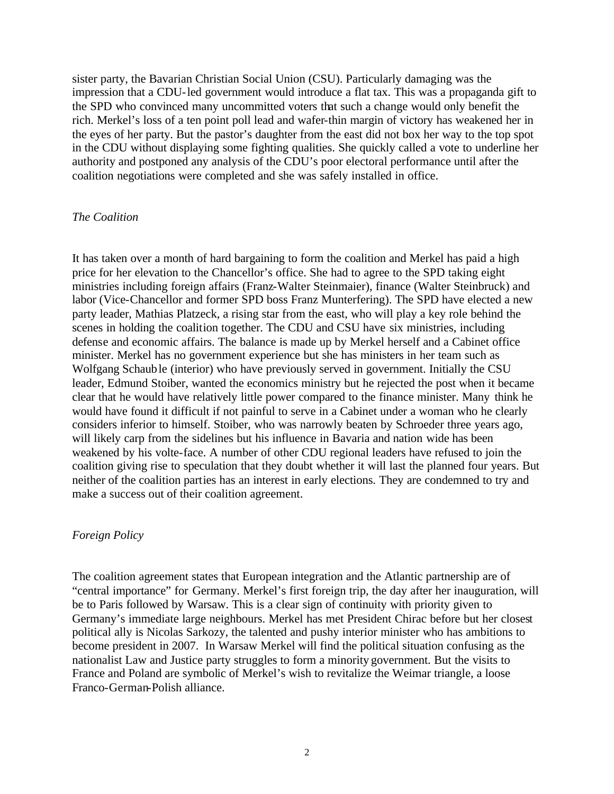sister party, the Bavarian Christian Social Union (CSU). Particularly damaging was the impression that a CDU-led government would introduce a flat tax. This was a propaganda gift to the SPD who convinced many uncommitted voters that such a change would only benefit the rich. Merkel's loss of a ten point poll lead and wafer-thin margin of victory has weakened her in the eyes of her party. But the pastor's daughter from the east did not box her way to the top spot in the CDU without displaying some fighting qualities. She quickly called a vote to underline her authority and postponed any analysis of the CDU's poor electoral performance until after the coalition negotiations were completed and she was safely installed in office.

#### *The Coalition*

It has taken over a month of hard bargaining to form the coalition and Merkel has paid a high price for her elevation to the Chancellor's office. She had to agree to the SPD taking eight ministries including foreign affairs (Franz-Walter Steinmaier), finance (Walter Steinbruck) and labor (Vice-Chancellor and former SPD boss Franz Munterfering). The SPD have elected a new party leader, Mathias Platzeck, a rising star from the east, who will play a key role behind the scenes in holding the coalition together. The CDU and CSU have six ministries, including defense and economic affairs. The balance is made up by Merkel herself and a Cabinet office minister. Merkel has no government experience but she has ministers in her team such as Wolfgang Schauble (interior) who have previously served in government. Initially the CSU leader, Edmund Stoiber, wanted the economics ministry but he rejected the post when it became clear that he would have relatively little power compared to the finance minister. Many think he would have found it difficult if not painful to serve in a Cabinet under a woman who he clearly considers inferior to himself. Stoiber, who was narrowly beaten by Schroeder three years ago, will likely carp from the sidelines but his influence in Bavaria and nation wide has been weakened by his volte-face. A number of other CDU regional leaders have refused to join the coalition giving rise to speculation that they doubt whether it will last the planned four years. But neither of the coalition parties has an interest in early elections. They are condemned to try and make a success out of their coalition agreement.

#### *Foreign Policy*

The coalition agreement states that European integration and the Atlantic partnership are of "central importance" for Germany. Merkel's first foreign trip, the day after her inauguration, will be to Paris followed by Warsaw. This is a clear sign of continuity with priority given to Germany's immediate large neighbours. Merkel has met President Chirac before but her closest political ally is Nicolas Sarkozy, the talented and pushy interior minister who has ambitions to become president in 2007. In Warsaw Merkel will find the political situation confusing as the nationalist Law and Justice party struggles to form a minority government. But the visits to France and Poland are symbolic of Merkel's wish to revitalize the Weimar triangle, a loose Franco-German-Polish alliance.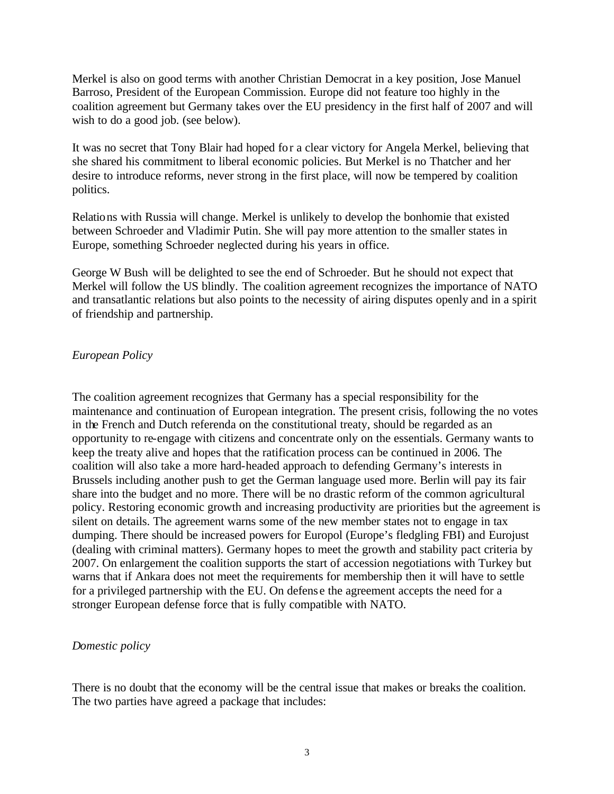Merkel is also on good terms with another Christian Democrat in a key position, Jose Manuel Barroso, President of the European Commission. Europe did not feature too highly in the coalition agreement but Germany takes over the EU presidency in the first half of 2007 and will wish to do a good job. (see below).

It was no secret that Tony Blair had hoped for a clear victory for Angela Merkel, believing that she shared his commitment to liberal economic policies. But Merkel is no Thatcher and her desire to introduce reforms, never strong in the first place, will now be tempered by coalition politics.

Relations with Russia will change. Merkel is unlikely to develop the bonhomie that existed between Schroeder and Vladimir Putin. She will pay more attention to the smaller states in Europe, something Schroeder neglected during his years in office.

George W Bush will be delighted to see the end of Schroeder. But he should not expect that Merkel will follow the US blindly. The coalition agreement recognizes the importance of NATO and transatlantic relations but also points to the necessity of airing disputes openly and in a spirit of friendship and partnership.

#### *European Policy*

The coalition agreement recognizes that Germany has a special responsibility for the maintenance and continuation of European integration. The present crisis, following the no votes in the French and Dutch referenda on the constitutional treaty, should be regarded as an opportunity to re-engage with citizens and concentrate only on the essentials. Germany wants to keep the treaty alive and hopes that the ratification process can be continued in 2006. The coalition will also take a more hard-headed approach to defending Germany's interests in Brussels including another push to get the German language used more. Berlin will pay its fair share into the budget and no more. There will be no drastic reform of the common agricultural policy. Restoring economic growth and increasing productivity are priorities but the agreement is silent on details. The agreement warns some of the new member states not to engage in tax dumping. There should be increased powers for Europol (Europe's fledgling FBI) and Eurojust (dealing with criminal matters). Germany hopes to meet the growth and stability pact criteria by 2007. On enlargement the coalition supports the start of accession negotiations with Turkey but warns that if Ankara does not meet the requirements for membership then it will have to settle for a privileged partnership with the EU. On defens e the agreement accepts the need for a stronger European defense force that is fully compatible with NATO.

#### *Domestic policy*

There is no doubt that the economy will be the central issue that makes or breaks the coalition. The two parties have agreed a package that includes: